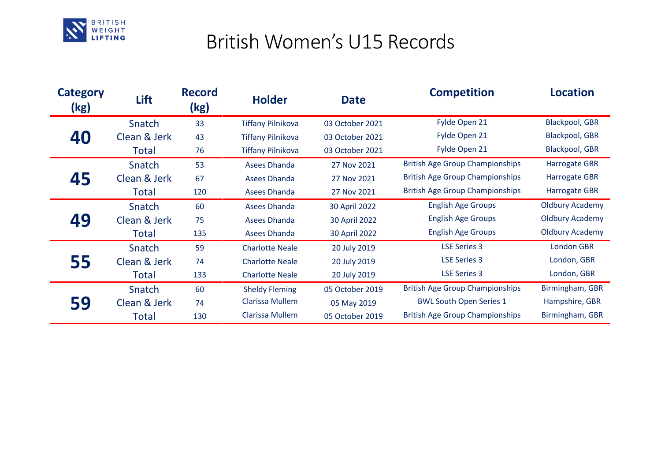

## British Women's U15 Records

| <b>Category</b><br>(kg) | Lift         | <b>Record</b><br>(kg) | <b>Holder</b>            | <b>Date</b>     | <b>Competition</b>                     | <b>Location</b>        |
|-------------------------|--------------|-----------------------|--------------------------|-----------------|----------------------------------------|------------------------|
| 40                      | Snatch       | 33                    | <b>Tiffany Pilnikova</b> | 03 October 2021 | Fylde Open 21                          | <b>Blackpool, GBR</b>  |
|                         | Clean & Jerk | 43                    | <b>Tiffany Pilnikova</b> | 03 October 2021 | Fylde Open 21                          | Blackpool, GBR         |
|                         | Total        | 76                    | <b>Tiffany Pilnikova</b> | 03 October 2021 | Fylde Open 21                          | <b>Blackpool, GBR</b>  |
| 45                      | Snatch       | 53                    | <b>Asees Dhanda</b>      | 27 Nov 2021     | <b>British Age Group Championships</b> | <b>Harrogate GBR</b>   |
|                         | Clean & Jerk | 67                    | <b>Asees Dhanda</b>      | 27 Nov 2021     | <b>British Age Group Championships</b> | <b>Harrogate GBR</b>   |
|                         | Total        | 120                   | <b>Asees Dhanda</b>      | 27 Nov 2021     | <b>British Age Group Championships</b> | <b>Harrogate GBR</b>   |
| 49                      | Snatch       | 60                    | <b>Asees Dhanda</b>      | 30 April 2022   | <b>English Age Groups</b>              | <b>Oldbury Academy</b> |
|                         | Clean & Jerk | 75                    | <b>Asees Dhanda</b>      | 30 April 2022   | <b>English Age Groups</b>              | <b>Oldbury Academy</b> |
|                         | Total        | 135                   | <b>Asees Dhanda</b>      | 30 April 2022   | <b>English Age Groups</b>              | <b>Oldbury Academy</b> |
| 55                      | Snatch       | 59                    | <b>Charlotte Neale</b>   | 20 July 2019    | <b>LSE Series 3</b>                    | <b>London GBR</b>      |
|                         | Clean & Jerk | 74                    | <b>Charlotte Neale</b>   | 20 July 2019    | <b>LSE Series 3</b>                    | London, GBR            |
|                         | Total        | 133                   | <b>Charlotte Neale</b>   | 20 July 2019    | <b>LSE Series 3</b>                    | London, GBR            |
| 59                      | Snatch       | 60                    | <b>Sheldy Fleming</b>    | 05 October 2019 | <b>British Age Group Championships</b> | Birmingham, GBR        |
|                         | Clean & Jerk | 74                    | Clarissa Mullem          | 05 May 2019     | <b>BWL South Open Series 1</b>         | Hampshire, GBR         |
|                         | Total        | 130                   | <b>Clarissa Mullem</b>   | 05 October 2019 | <b>British Age Group Championships</b> | Birmingham, GBR        |